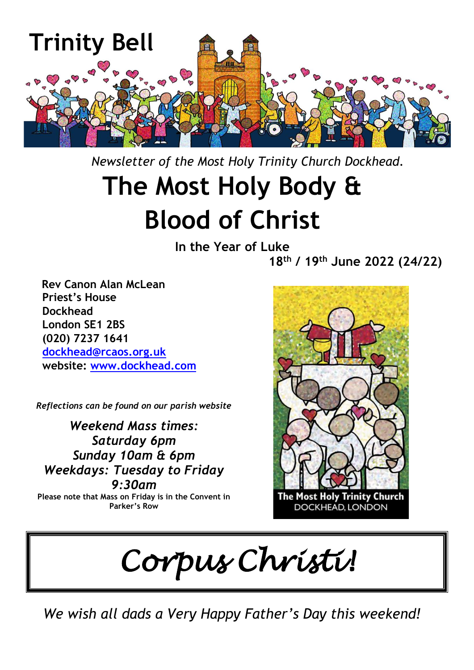

 *Newsletter of the Most Holy Trinity Church Dockhead.*

# **The Most Holy Body & Blood of Christ**

**In the Year of Luke**

**18 th / 19 th June 2022 (24/22)**

 **Rev Canon Alan McLean Priest's House Dockhead London SE1 2BS (020) 7237 1641 [dockhead@rcaos.org.uk](mailto:dockhead@rcaos.org.uk) website: [www.dockhead.com](http://www.dockhead.com/)**

*Reflections can be found on our parish website*

*Weekend Mass times: Saturday 6pm Sunday 10am & 6pm Weekdays: Tuesday to Friday 9:30am* **Please note that Mass on Friday is in the Convent in Parker's Row**



*Corpus Christi!*

*We wish all dads a Very Happy Father's Day this weekend!*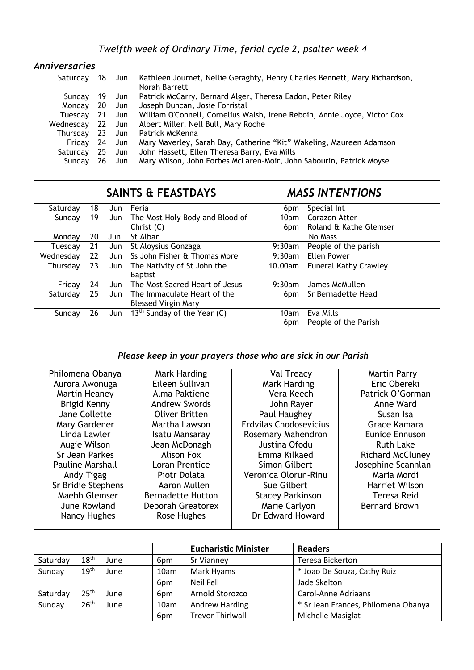| Anniversaries |      |        |                                                                                             |
|---------------|------|--------|---------------------------------------------------------------------------------------------|
| Saturdav      |      | 18 Jun | Kathleen Journet, Nellie Geraghty, Henry Charles Bennett, Mary Richardson,<br>Norah Barrett |
| Sundav        | -19  | Jun J  | Patrick McCarry, Bernard Alger, Theresa Eadon, Peter Riley                                  |
| Monday 20 Jun |      |        | Joseph Duncan, Josie Forristal                                                              |
| Tuesdav       | - 21 | Jun J  | William O'Connell, Cornelius Walsh, Irene Reboin, Annie Joyce, Victor Cox                   |
| Wednesday     |      | 22 Jun | Albert Miller, Nell Bull, Mary Roche                                                        |
| Thursday      | - 23 | - Jun  | Patrick McKenna                                                                             |
| Fridav        | 24   | Jun J  | Mary Maverley, Sarah Day, Catherine "Kit" Wakeling, Maureen Adamson                         |
| Saturday      | -25  | Jun J  | John Hassett, Ellen Theresa Barry, Eva Mills                                                |
| Sundav        | 26   | Jun .  | Mary Wilson, John Forbes McLaren-Moir, John Sabourin, Patrick Moyse                         |

| <b>SAINTS &amp; FEASTDAYS</b> |    |       |                                         | <b>MASS INTENTIONS</b> |                              |  |
|-------------------------------|----|-------|-----------------------------------------|------------------------|------------------------------|--|
| Saturday                      | 18 | Jun   | Feria                                   | 6pm                    | Special Int                  |  |
| Sunday                        | 19 | Jun   | The Most Holy Body and Blood of         | 10am                   | Corazon Atter                |  |
|                               |    |       | Christ $(C)$                            | 6pm                    | Roland & Kathe Glemser       |  |
| Mondav                        | 20 | Jun   | St Alban                                |                        | No Mass                      |  |
| Tuesdav                       | 21 | Jun   | St Aloysius Gonzaga                     | 9:30am                 | People of the parish         |  |
| Wednesday                     | 22 | Jun   | Ss John Fisher & Thomas More            | $9:30$ am              | Ellen Power                  |  |
| Thursday                      | 23 | Jun   | The Nativity of St John the             | 10.00am                | <b>Funeral Kathy Crawley</b> |  |
|                               |    |       | <b>Baptist</b>                          |                        |                              |  |
| Friday                        | 24 | Jun   | The Most Sacred Heart of Jesus          | $9:30$ am              | James McMullen               |  |
| Saturday                      | 25 | Jun   | The Immaculate Heart of the             | 6pm                    | Sr Bernadette Head           |  |
|                               |    |       | <b>Blessed Virgin Mary</b>              |                        |                              |  |
| Sunday                        | 26 | Jun I | 13 <sup>th</sup> Sunday of the Year (C) | 10am                   | Eva Mills                    |  |
|                               |    |       |                                         | 6pm                    | People of the Parish         |  |

## *Please keep in your prayers those who are sick in our Parish*

| Philomena Obanya        | Mark Harding             | Val Treacy              | <b>Martin Parry</b>     |
|-------------------------|--------------------------|-------------------------|-------------------------|
| Aurora Awonuga          | Eileen Sullivan          | Mark Harding            | Eric Obereki            |
| Martin Heaney           | Alma Paktiene            | Vera Keech              | Patrick O'Gorman        |
| Brigid Kenny            | <b>Andrew Swords</b>     | John Rayer              | Anne Ward               |
| Jane Collette           | <b>Oliver Britten</b>    | Paul Haughey            | Susan Isa               |
| Mary Gardener           | Martha Lawson            | Erdvilas Chodosevicius  | Grace Kamara            |
| Linda Lawler            | Isatu Mansaray           | Rosemary Mahendron      | Eunice Ennuson          |
| Augie Wilson            | Jean McDonagh            | Justina Ofodu           | <b>Ruth Lake</b>        |
| Sr Jean Parkes          | Alison Fox               | Emma Kilkaed            | <b>Richard McCluney</b> |
| <b>Pauline Marshall</b> | Loran Prentice           | Simon Gilbert           | Josephine Scannlan      |
| Andy Tigag              | Piotr Dolata             | Veronica Olorun-Rinu    | Maria Mordi             |
| Sr Bridie Stephens      | Aaron Mullen             | Sue Gilbert             | Harriet Wilson          |
| Maebh Glemser           | <b>Bernadette Hutton</b> | <b>Stacey Parkinson</b> | Teresa Reid             |
| June Rowland            | Deborah Greatorex        | Marie Carlyon           | <b>Bernard Brown</b>    |
| Nancy Hughes            | Rose Hughes              | Dr Edward Howard        |                         |
|                         |                          |                         |                         |

|          |                  |      |      | <b>Eucharistic Minister</b> | <b>Readers</b>                      |
|----------|------------------|------|------|-----------------------------|-------------------------------------|
| Saturday | 18 <sup>th</sup> | June | 6pm  | Sr Vianney                  | <b>Teresa Bickerton</b>             |
| Sunday   | 19 <sup>th</sup> | June | 10am | Mark Hyams                  | * Joao De Souza, Cathy Ruiz         |
|          |                  |      | 6pm  | Neil Fell                   | Jade Skelton                        |
| Saturday | 25 <sup>th</sup> | June | 6pm  | Arnold Storozco             | Carol-Anne Adriaans                 |
| Sunday   | 26 <sup>th</sup> | June | 10am | Andrew Harding              | * Sr Jean Frances, Philomena Obanya |
|          |                  |      | 6pm  | <b>Trevor Thirlwall</b>     | Michelle Masiglat                   |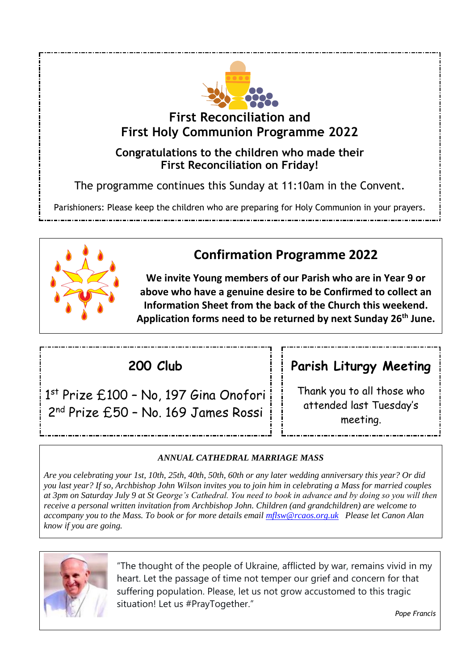

**First Reconciliation and First Holy Communion Programme 2022**

**Congratulations to the children who made their First Reconciliation on Friday!**

The programme continues this Sunday at 11:10am in the Convent.

Parishioners: Please keep the children who are preparing for Holy Communion in your prayers.



## **Confirmation Programme 2022**

**We invite Young members of our Parish who are in Year 9 or above who have a genuine desire to be Confirmed to collect an Information Sheet from the back of the Church this weekend. Application forms need to be returned by next Sunday 26th June.**

## **200 Club**

1 st Prize £100 – No, 197 Gina Onofori 2<sup>nd</sup> Prize £50 - No. 169 James Rossi

## **Parish Liturgy Meeting**

Thank you to all those who attended last Tuesday's meeting.

### *ANNUAL CATHEDRAL MARRIAGE MASS*

*Are you celebrating your 1st, 10th, 25th, 40th, 50th, 60th or any later wedding anniversary this year? Or did you last year? If so, Archbishop John Wilson invites you to join him in celebrating a Mass for married couples at 3pm on Saturday July 9 at St George's Cathedral. You need to book in advance and by doing so you will then receive a personal written invitation from Archbishop John. Children (and grandchildren) are welcome to accompany you to the Mass. To book or for more details email [mflsw@rcaos.org.uk](mailto:mflsw@rcaos.org.uk) Please let Canon Alan know if you are going.*



"The thought of the people of Ukraine, afflicted by war, remains vivid in my heart. Let the passage of time not temper our grief and concern for that suffering population. Please, let us not grow accustomed to this tragic situation! Let us #PrayTogether."

*Pope Francis*